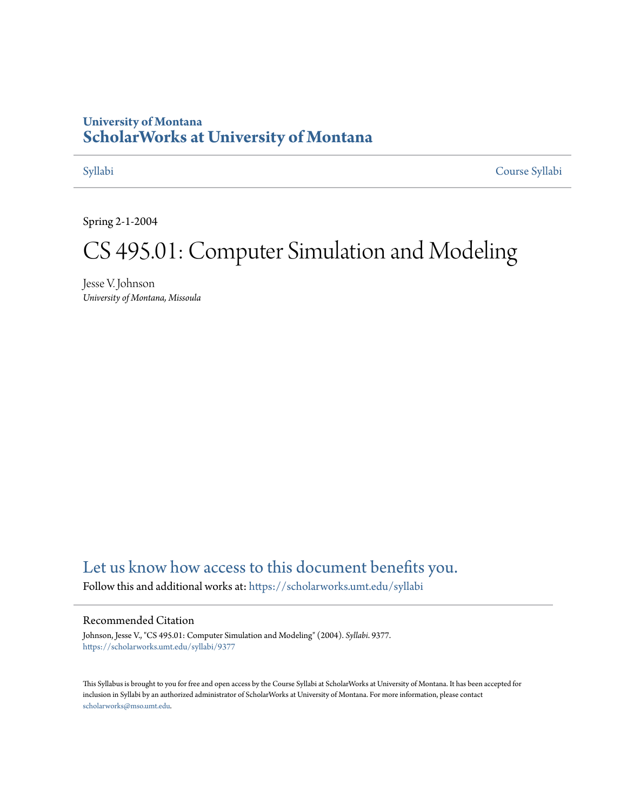## **University of Montana [ScholarWorks at University of Montana](https://scholarworks.umt.edu?utm_source=scholarworks.umt.edu%2Fsyllabi%2F9377&utm_medium=PDF&utm_campaign=PDFCoverPages)**

[Syllabi](https://scholarworks.umt.edu/syllabi?utm_source=scholarworks.umt.edu%2Fsyllabi%2F9377&utm_medium=PDF&utm_campaign=PDFCoverPages) [Course Syllabi](https://scholarworks.umt.edu/course_syllabi?utm_source=scholarworks.umt.edu%2Fsyllabi%2F9377&utm_medium=PDF&utm_campaign=PDFCoverPages)

Spring 2-1-2004

# CS 495.01: Computer Simulation and Modeling

Jesse V. Johnson *University of Montana, Missoula*

# [Let us know how access to this document benefits you.](https://goo.gl/forms/s2rGfXOLzz71qgsB2)

Follow this and additional works at: [https://scholarworks.umt.edu/syllabi](https://scholarworks.umt.edu/syllabi?utm_source=scholarworks.umt.edu%2Fsyllabi%2F9377&utm_medium=PDF&utm_campaign=PDFCoverPages)

#### Recommended Citation

Johnson, Jesse V., "CS 495.01: Computer Simulation and Modeling" (2004). *Syllabi*. 9377. [https://scholarworks.umt.edu/syllabi/9377](https://scholarworks.umt.edu/syllabi/9377?utm_source=scholarworks.umt.edu%2Fsyllabi%2F9377&utm_medium=PDF&utm_campaign=PDFCoverPages)

This Syllabus is brought to you for free and open access by the Course Syllabi at ScholarWorks at University of Montana. It has been accepted for inclusion in Syllabi by an authorized administrator of ScholarWorks at University of Montana. For more information, please contact [scholarworks@mso.umt.edu](mailto:scholarworks@mso.umt.edu).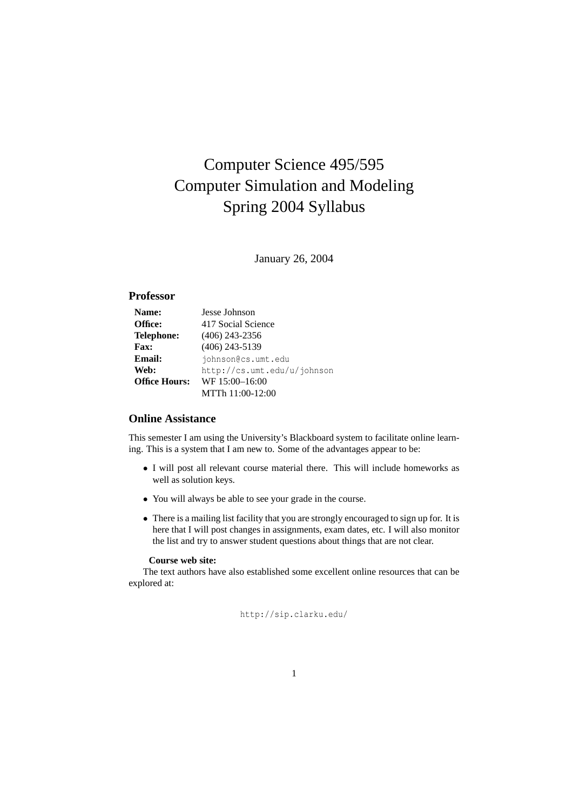# Computer Science 495/595 Computer Simulation and Modeling Spring 2004 Syllabus

January 26, 2004

#### **Professor**

| Name:                | Jesse Johnson               |
|----------------------|-----------------------------|
| Office:              | 417 Social Science          |
| <b>Telephone:</b>    | $(406)$ 243-2356            |
| <b>Fax:</b>          | $(406)$ 243-5139            |
| <b>Email:</b>        | johnson@cs.umt.edu          |
| Web:                 | http://cs.umt.edu/u/johnson |
| <b>Office Hours:</b> | WF 15:00-16:00              |
|                      | MTTh 11:00-12:00            |

#### **Online Assistance**

This semester I am using the University's Blackboard system to facilitate online learning. This is a system that I am new to. Some of the advantages appear to be:

- • I will post all relevant course material there. This will include homeworks as well as solution keys.
- You will always be able to see your grade in the course.
- There is a mailing list facility that you are strongly encouraged to sign up for. It is here that I will post changes in assignments, exam dates, etc. I will also monitor the list and try to answer student questions about things that are not clear.

#### **Course web site:**

The text authors have also established some excellent online resources that can be explored at:

http://sip.clarku.edu/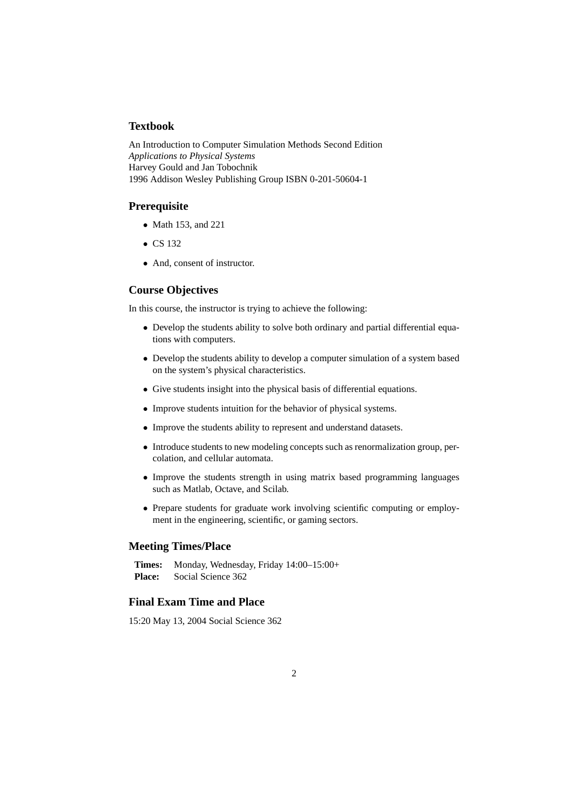#### **Textbook**

An Introduction to Computer Simulation Methods Second Edition *Applications to Physical Systems*  Harvey Gould and Jan Tobochnik 1996 Addison Wesley Publishing Group ISBN 0-201-50604-1

#### **Prerequisite**

- Math 153, and 221
- $\bullet$  CS 132
- And, consent of instructor.

#### **Course Objectives**

In this course, the instructor is trying to achieve the following:

- Develop the students ability to solve both ordinary and partial differential equations with computers.
- Develop the students ability to develop a computer simulation of a system based on the system's physical characteristics.
- Give students insight into the physical basis of differential equations.
- Improve students intuition for the behavior of physical systems.
- Improve the students ability to represent and understand datasets.
- • Introduce students to new modeling concepts such as renormalization group, percolation, and cellular automata.
- • Improve the students strength in using matrix based programming languages such as Matlab, Octave, and Scilab.
- Prepare students for graduate work involving scientific computing or employment in the engineering, scientific, or gaming sectors.

#### **Meeting Times/Place**

**Times:** Monday, Wednesday, Friday 14:00–15:00+ **Place:** Social Science 362

#### **Final Exam Time and Place**

15:20 May 13, 2004 Social Science 362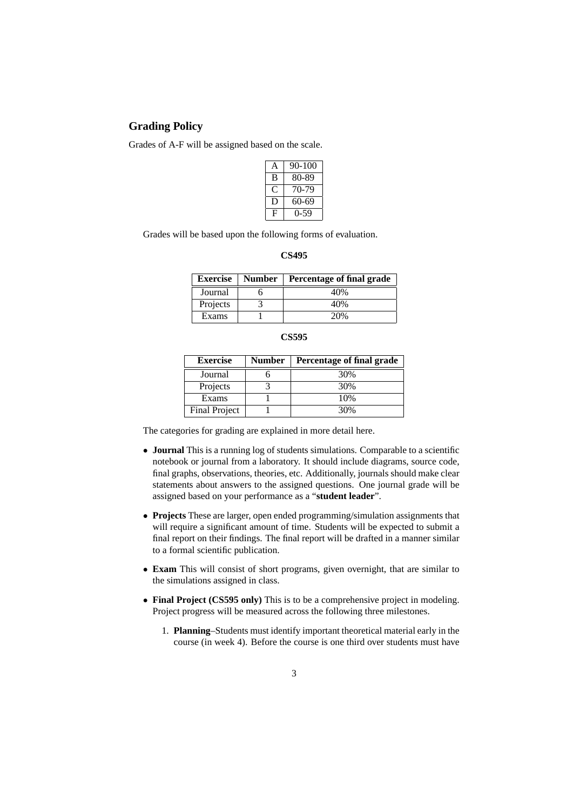#### **Grading Policy**

Grades of A-F will be assigned based on the scale.

| A | 90-100     |
|---|------------|
| B | 80-89      |
|   | 70-79      |
| Ð | 60-69      |
| Ĥ | $(1 - 59)$ |

Grades will be based upon the following forms of evaluation.

| m |
|---|
|---|

| <b>Exercise</b> | <b>Number</b> | Percentage of final grade |
|-----------------|---------------|---------------------------|
| Journal         |               | 40%                       |
| Projects        |               | 40%                       |
| Exams           |               | 20%                       |

| ×<br>۰.<br>I |
|--------------|
|--------------|

| <b>Exercise</b> | <b>Number</b> | Percentage of final grade |  |  |
|-----------------|---------------|---------------------------|--|--|
| Journal         |               | 30%                       |  |  |
| Projects        |               | 30%                       |  |  |
| Exams           |               | 10%                       |  |  |
| Final Project   |               | 30%                       |  |  |

The categories for grading are explained in more detail here.

- **Journal** This is a running log of students simulations. Comparable to a scientific notebook or journal from a laboratory. It should include diagrams, source code, final graphs, observations, theories, etc. Additionally, journals should make clear statements about answers to the assigned questions. One journal grade will be assigned based on your performance as a "**student leader**".
- **Projects** These are larger, open ended programming/simulation assignments that will require a significant amount of time. Students will be expected to submit a final report on their findings. The final report will be drafted in a manner similar to a formal scientific publication.
- **Exam** This will consist of short programs, given overnight, that are similar to the simulations assigned in class.
- **Final Project (CS595 only)** This is to be a comprehensive project in modeling. Project progress will be measured across the following three milestones.
	- 1. **Planning**–Students must identify important theoretical material early in the course (in week 4). Before the course is one third over students must have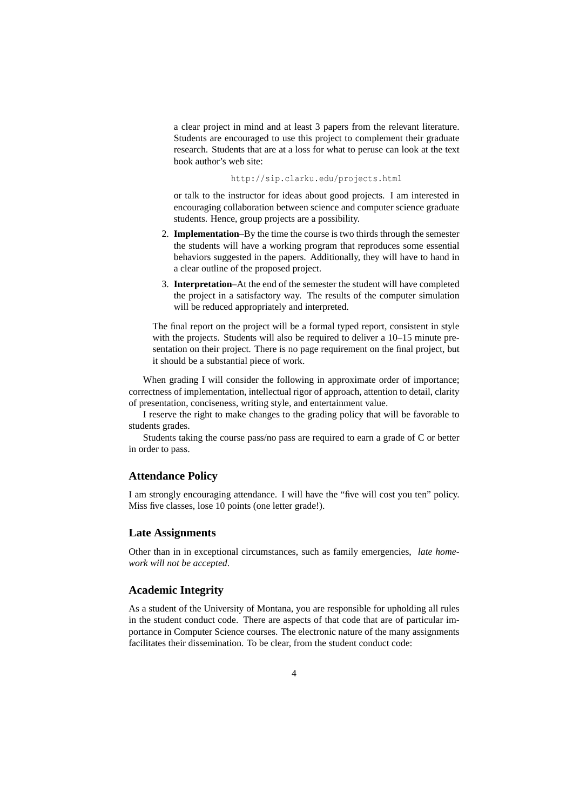a clear project in mind and at least 3 papers from the relevant literature. Students are encouraged to use this project to complement their graduate research. Students that are at a loss for what to peruse can look at the text book author's web site:

http://sip.clarku.edu/projects.html

or talk to the instructor for ideas about good projects. I am interested in encouraging collaboration between science and computer science graduate students. Hence, group projects are a possibility.

- 2. **Implementation**–By the time the course is two thirds through the semester the students will have a working program that reproduces some essential behaviors suggested in the papers. Additionally, they will have to hand in a clear outline of the proposed project.
- 3. **Interpretation**–At the end of the semester the student will have completed the project in a satisfactory way. The results of the computer simulation will be reduced appropriately and interpreted.

The final report on the project will be a formal typed report, consistent in style with the projects. Students will also be required to deliver a 10–15 minute presentation on their project. There is no page requirement on the final project, but it should be a substantial piece of work.

When grading I will consider the following in approximate order of importance; correctness of implementation, intellectual rigor of approach, attention to detail, clarity of presentation, conciseness, writing style, and entertainment value.

I reserve the right to make changes to the grading policy that will be favorable to students grades.

Students taking the course pass/no pass are required to earn a grade of C or better in order to pass.

#### **Attendance Policy**

I am strongly encouraging attendance. I will have the "five will cost you ten" policy. Miss five classes, lose 10 points (one letter grade!).

#### **Late Assignments**

Other than in in exceptional circumstances, such as family emergencies, *late homework will not be accepted*.

#### **Academic Integrity**

As a student of the University of Montana, you are responsible for upholding all rules in the student conduct code. There are aspects of that code that are of particular importance in Computer Science courses. The electronic nature of the many assignments facilitates their dissemination. To be clear, from the student conduct code: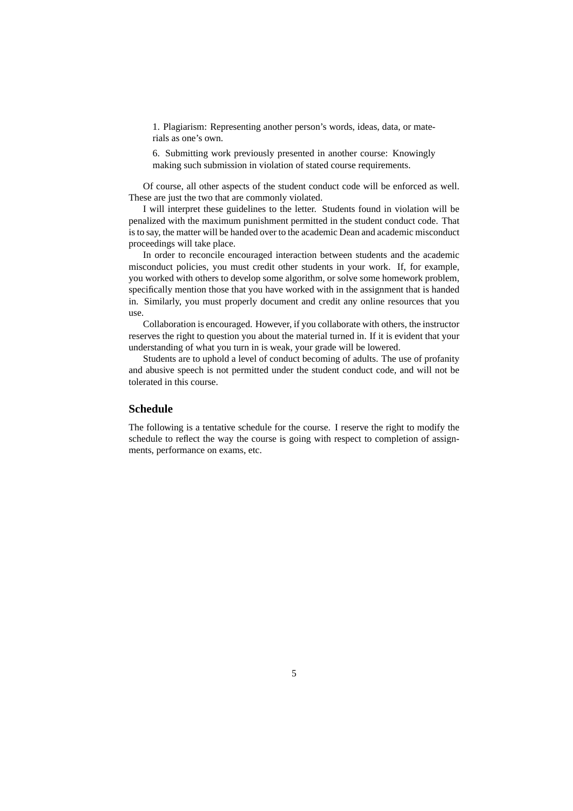1. Plagiarism: Representing another person's words, ideas, data, or materials as one's own.

6. Submitting work previously presented in another course: Knowingly making such submission in violation of stated course requirements.

Of course, all other aspects of the student conduct code will be enforced as well. These are just the two that are commonly violated.

I will interpret these guidelines to the letter. Students found in violation will be penalized with the maximum punishment permitted in the student conduct code. That is to say, the matter will be handed over to the academic Dean and academic misconduct proceedings will take place.

In order to reconcile encouraged interaction between students and the academic misconduct policies, you must credit other students in your work. If, for example, you worked with others to develop some algorithm, or solve some homework problem, specifically mention those that you have worked with in the assignment that is handed in. Similarly, you must properly document and credit any online resources that you use.

Collaboration is encouraged. However, if you collaborate with others, the instructor reserves the right to question you about the material turned in. If it is evident that your understanding of what you turn in is weak, your grade will be lowered.

Students are to uphold a level of conduct becoming of adults. The use of profanity and abusive speech is not permitted under the student conduct code, and will not be tolerated in this course.

#### **Schedule**

The following is a tentative schedule for the course. I reserve the right to modify the schedule to reflect the way the course is going with respect to completion of assignments, performance on exams, etc.